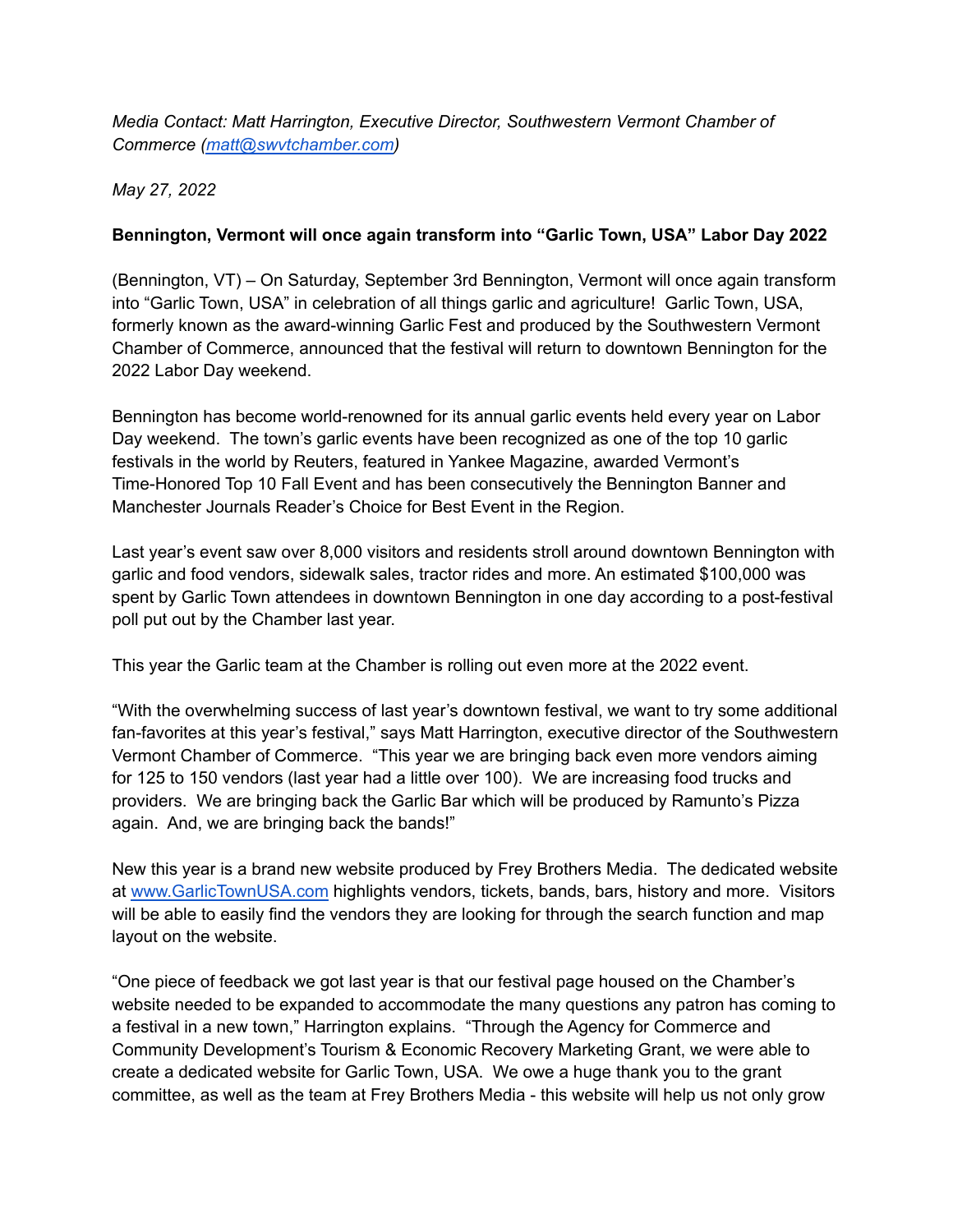*Media Contact: Matt Harrington, Executive Director, Southwestern Vermont Chamber of Commerce [\(matt@swvtchamber.com](mailto:matt@swvtchamber.com))*

*May 27, 2022*

## **Bennington, Vermont will once again transform into "Garlic Town, USA" Labor Day 2022**

(Bennington, VT) – On Saturday, September 3rd Bennington, Vermont will once again transform into "Garlic Town, USA" in celebration of all things garlic and agriculture! Garlic Town, USA, formerly known as the award-winning Garlic Fest and produced by the Southwestern Vermont Chamber of Commerce, announced that the festival will return to downtown Bennington for the 2022 Labor Day weekend.

Bennington has become world-renowned for its annual garlic events held every year on Labor Day weekend. The town's garlic events have been recognized as one of the top 10 garlic festivals in the world by Reuters, featured in Yankee Magazine, awarded Vermont's Time-Honored Top 10 Fall Event and has been consecutively the Bennington Banner and Manchester Journals Reader's Choice for Best Event in the Region.

Last year's event saw over 8,000 visitors and residents stroll around downtown Bennington with garlic and food vendors, sidewalk sales, tractor rides and more. An estimated \$100,000 was spent by Garlic Town attendees in downtown Bennington in one day according to a post-festival poll put out by the Chamber last year.

This year the Garlic team at the Chamber is rolling out even more at the 2022 event.

"With the overwhelming success of last year's downtown festival, we want to try some additional fan-favorites at this year's festival," says Matt Harrington, executive director of the Southwestern Vermont Chamber of Commerce. "This year we are bringing back even more vendors aiming for 125 to 150 vendors (last year had a little over 100). We are increasing food trucks and providers. We are bringing back the Garlic Bar which will be produced by Ramunto's Pizza again. And, we are bringing back the bands!"

New this year is a brand new website produced by Frey Brothers Media. The dedicated website at [www.GarlicTownUSA.com](http://www.garlictownusa.com) highlights vendors, tickets, bands, bars, history and more. Visitors will be able to easily find the vendors they are looking for through the search function and map layout on the website.

"One piece of feedback we got last year is that our festival page housed on the Chamber's website needed to be expanded to accommodate the many questions any patron has coming to a festival in a new town," Harrington explains. "Through the Agency for Commerce and Community Development's Tourism & Economic Recovery Marketing Grant, we were able to create a dedicated website for Garlic Town, USA. We owe a huge thank you to the grant committee, as well as the team at Frey Brothers Media - this website will help us not only grow